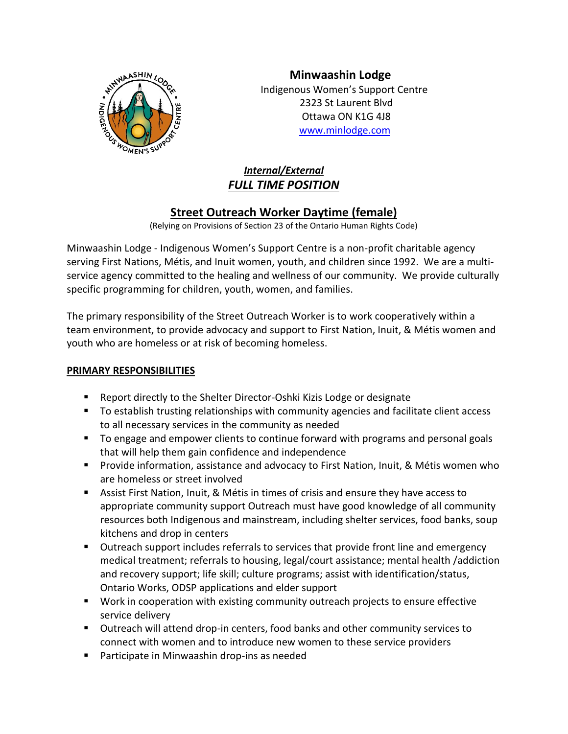

**Minwaashin Lodge** Indigenous Women's Support Centre 2323 St Laurent Blvd Ottawa ON K1G 4J8 [www.minlodge.com](http://www.minlodge.com/)

# *Internal/External FULL TIME POSITION*

# **Street Outreach Worker Daytime (female)**

(Relying on Provisions of Section 23 of the Ontario Human Rights Code)

Minwaashin Lodge - Indigenous Women's Support Centre is a non-profit charitable agency serving First Nations, Métis, and Inuit women, youth, and children since 1992. We are a multiservice agency committed to the healing and wellness of our community. We provide culturally specific programming for children, youth, women, and families.

The primary responsibility of the Street Outreach Worker is to work cooperatively within a team environment, to provide advocacy and support to First Nation, Inuit, & Métis women and youth who are homeless or at risk of becoming homeless.

# **PRIMARY RESPONSIBILITIES**

- Report directly to the Shelter Director-Oshki Kizis Lodge or designate
- To establish trusting relationships with community agencies and facilitate client access to all necessary services in the community as needed
- To engage and empower clients to continue forward with programs and personal goals that will help them gain confidence and independence
- Provide information, assistance and advocacy to First Nation, Inuit, & Métis women who are homeless or street involved
- Assist First Nation, Inuit, & Métis in times of crisis and ensure they have access to appropriate community support Outreach must have good knowledge of all community resources both Indigenous and mainstream, including shelter services, food banks, soup kitchens and drop in centers
- Outreach support includes referrals to services that provide front line and emergency medical treatment; referrals to housing, legal/court assistance; mental health /addiction and recovery support; life skill; culture programs; assist with identification/status, Ontario Works, ODSP applications and elder support
- Work in cooperation with existing community outreach projects to ensure effective service delivery
- Outreach will attend drop-in centers, food banks and other community services to connect with women and to introduce new women to these service providers
- Participate in Minwaashin drop-ins as needed